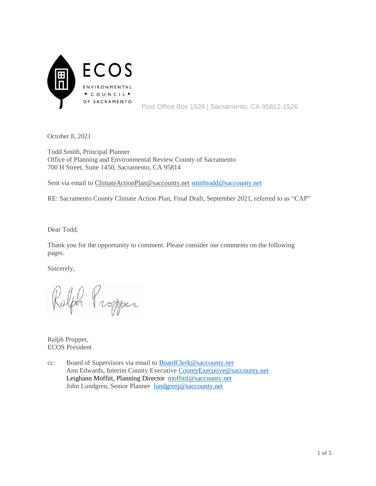

October 8, 2021

Todd Smith, Principal Planner Office of Planning and Environmental Review County of Sacramento 700 H Street, Suite 1450, Sacramento, CA 95814

Sent via email to [ClimateActionPlan@saccounty.net](mailto:ClimateActionPlan@saccounty.net) [smithtodd@saccounty.net](mailto:smithtodd@saccounty.net)

RE: Sacramento County Climate Action Plan, Final Draft, September 2021, referred to as "CAP"

Dear Todd,

Thank you for the opportunity to comment. Please consider our comments on the following pages.

Sincerely,

Ralph Propper

Ralph Propper, ECOS President

cc: Board of Supervisors via email to [BoardClerk@saccounty.net](mailto:BoardClerk@saccounty.net) Ann Edwards, Interim County Executive [CountyExecutive@saccounty.net](mailto:CountyExecutive@saccounty.net) Leighann Moffitt, Planning Director [moffittl@saccounty.net](mailto:moffittl@saccounty.net) John Lundgren, Senior Planner [lundgrenj@saccounty.net](mailto:lundgrenj@saccounty.net)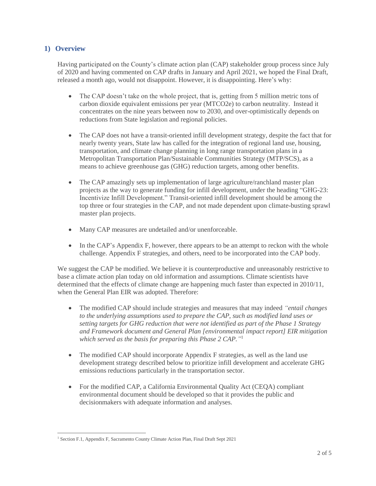## **1) Overview**

Having participated on the County's climate action plan (CAP) stakeholder group process since July of 2020 and having commented on CAP drafts in January and April 2021, we hoped the Final Draft, released a month ago, would not disappoint. However, it is disappointing. Here's why:

- The CAP doesn't take on the whole project, that is, getting from 5 million metric tons of carbon dioxide equivalent emissions per year (MTCO2e) to carbon neutrality. Instead it concentrates on the nine years between now to 2030, and over-optimistically depends on reductions from State legislation and regional policies.
- The CAP does not have a transit-oriented infill development strategy, despite the fact that for nearly twenty years, State law has called for the integration of regional land use, housing, transportation, and climate change planning in long range transportation plans in a Metropolitan Transportation Plan/Sustainable Communities Strategy (MTP/SCS), as a means to achieve greenhouse gas (GHG) reduction targets, among other benefits.
- The CAP amazingly sets up implementation of large agriculture/ranchland master plan projects as the way to generate funding for infill development, under the heading "GHG-23: Incentivize Infill Development." Transit-oriented infill development should be among the top three or four strategies in the CAP, and not made dependent upon climate-busting sprawl master plan projects.
- Many CAP measures are undetailed and/or unenforceable.
- In the CAP's Appendix F, however, there appears to be an attempt to reckon with the whole challenge. Appendix F strategies, and others, need to be incorporated into the CAP body.

We suggest the CAP be modified. We believe it is counterproductive and unreasonably restrictive to base a climate action plan today on old information and assumptions. Climate scientists have determined that the effects of climate change are happening much faster than expected in 2010/11, when the General Plan EIR was adopted. Therefore:

- The modified CAP should include strategies and measures that may indeed *"entail changes to the underlying assumptions used to prepare the CAP, such as modified land uses or setting targets for GHG reduction that were not identified as part of the Phase 1 Strategy and Framework document and General Plan [environmental impact report] EIR mitigation which served as the basis for preparing this Phase 2 CAP."* 1
- The modified CAP should incorporate Appendix F strategies, as well as the land use development strategy described below to prioritize infill development and accelerate GHG emissions reductions particularly in the transportation sector.
- For the modified CAP, a California Environmental Quality Act (CEQA) compliant environmental document should be developed so that it provides the public and decisionmakers with adequate information and analyses.

 $\overline{a}$ <sup>1</sup> Section F.1, Appendix F, Sacramento County Climate Action Plan, Final Draft Sept 2021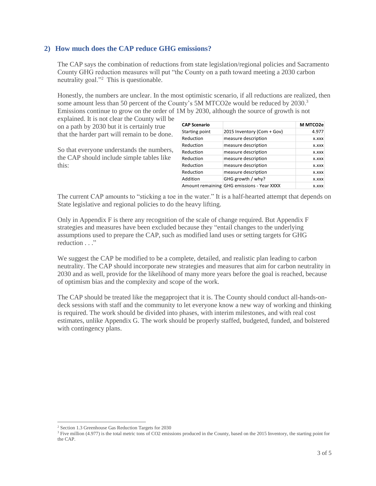## **2) How much does the CAP reduce GHG emissions?**

The CAP says the combination of reductions from state legislation/regional policies and Sacramento County GHG reduction measures will put "the County on a path toward meeting a 2030 carbon neutrality goal."<sup>2</sup> This is questionable.

Honestly, the numbers are unclear. In the most optimistic scenario, if all reductions are realized, then some amount less than 50 percent of the County's 5M MTCO2e would be reduced by 2030.<sup>3</sup> Emissions continue to grow on the order of 1M by 2030, although the source of growth is not

explained. It is not clear the County will be on a path by 2030 but it is certainly true that the harder part will remain to be done.

So that everyone understands the numbers, the CAP should include simple tables like this:

| <b>CAP Scenario</b> |                                            | M MTCO2e |
|---------------------|--------------------------------------------|----------|
| Starting point      | 2015 Inventory (Com + Gov)                 | 4.977    |
| Reduction           | measure description                        | X.XXX    |
| Reduction           | measure description                        | X.XXX    |
| Reduction           | measure description                        | X.XXX    |
| Reduction           | measure description                        | X.XXX    |
| Reduction           | measure description                        | X.XXX    |
| Reduction           | measure description                        | X.XXX    |
| Addition            | GHG growth / why?                          | X.XXX    |
|                     | Amount remaining GHG emissions - Year XXXX | X.XXX    |

The current CAP amounts to "sticking a toe in the water." It is a half-hearted attempt that depends on State legislative and regional policies to do the heavy lifting.

Only in Appendix F is there any recognition of the scale of change required. But Appendix F strategies and measures have been excluded because they "entail changes to the underlying assumptions used to prepare the CAP, such as modified land uses or setting targets for GHG reduction . . ."

We suggest the CAP be modified to be a complete, detailed, and realistic plan leading to carbon neutrality. The CAP should incorporate new strategies and measures that aim for carbon neutrality in 2030 and as well, provide for the likelihood of many more years before the goal is reached, because of optimism bias and the complexity and scope of the work.

The CAP should be treated like the megaproject that it is. The County should conduct all-hands-ondeck sessions with staff and the community to let everyone know a new way of working and thinking is required. The work should be divided into phases, with interim milestones, and with real cost estimates, unlike Appendix G. The work should be properly staffed, budgeted, funded, and bolstered with contingency plans.

 $\overline{a}$ <sup>2</sup> Section 1.3 Greenhouse Gas Reduction Targets for 2030

<sup>&</sup>lt;sup>3</sup> Five million (4.977) is the total metric tons of CO2 emissions produced in the County, based on the 2015 Inventory, the starting point for the CAP.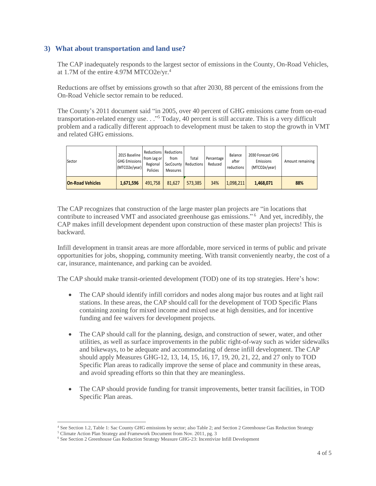## **3) What about transportation and land use?**

The CAP inadequately responds to the largest sector of emissions in the County, On-Road Vehicles, at 1.7M of the entire 4.97M MTCO2e/yr.<sup>4</sup>

Reductions are offset by emissions growth so that after 2030, 88 percent of the emissions from the On-Road Vehicle sector remain to be reduced.

The County's 2011 document said "in 2005, over 40 percent of GHG emissions came from on-road transportation-related energy use. . ." <sup>5</sup> Today, 40 percent is still accurate. This is a very difficult problem and a radically different approach to development must be taken to stop the growth in VMT and related GHG emissions.

| Sector                  | 2015 Baseline<br><b>GHG Emissions</b><br>(MTCO2e/year) | from Leg or<br>Regional<br>Policies | Reductions   Reductions  <br>from<br>Measures | Total<br>SacCounty   Reductions | Percentage<br>Reduced | Balance<br>after<br>reductions | 2030 Forecast GHG<br>Emissions<br>(MTCO2e/year) | Amount remaining |
|-------------------------|--------------------------------------------------------|-------------------------------------|-----------------------------------------------|---------------------------------|-----------------------|--------------------------------|-------------------------------------------------|------------------|
| <b>On-Road Vehicles</b> | 1,671,596                                              | 491.758                             | 81.627                                        | 573.385                         | 34%                   | 1,098,211                      | 1.468.071                                       | 88%              |

The CAP recognizes that construction of the large master plan projects are "in locations that contribute to increased VMT and associated greenhouse gas emissions." <sup>6</sup> And yet, incredibly, the CAP makes infill development dependent upon construction of these master plan projects! This is backward.

Infill development in transit areas are more affordable, more serviced in terms of public and private opportunities for jobs, shopping, community meeting. With transit conveniently nearby, the cost of a car, insurance, maintenance, and parking can be avoided.

The CAP should make transit-oriented development (TOD) one of its top strategies. Here's how:

- The CAP should identify infill corridors and nodes along major bus routes and at light rail stations. In these areas, the CAP should call for the development of TOD Specific Plans containing zoning for mixed income and mixed use at high densities, and for incentive funding and fee waivers for development projects.
- The CAP should call for the planning, design, and construction of sewer, water, and other utilities, as well as surface improvements in the public right-of-way such as wider sidewalks and bikeways, to be adequate and accommodating of dense infill development. The CAP should apply Measures GHG-12, 13, 14, 15, 16, 17, 19, 20, 21, 22, and 27 only to TOD Specific Plan areas to radically improve the sense of place and community in these areas, and avoid spreading efforts so thin that they are meaningless.
- The CAP should provide funding for transit improvements, better transit facilities, in TOD Specific Plan areas.

 $\overline{a}$ <sup>4</sup> See Section 1.2, Table 1: Sac County GHG emissions by sector; also Table 2; and Section 2 Greenhouse Gas Reduction Strategy

<sup>5</sup> Climate Action Plan Strategy and Framework Document from Nov. 2011, pg. 3

<sup>6</sup> See Section 2 Greenhouse Gas Reduction Strategy Measure GHG-23: Incentivize Infill Development